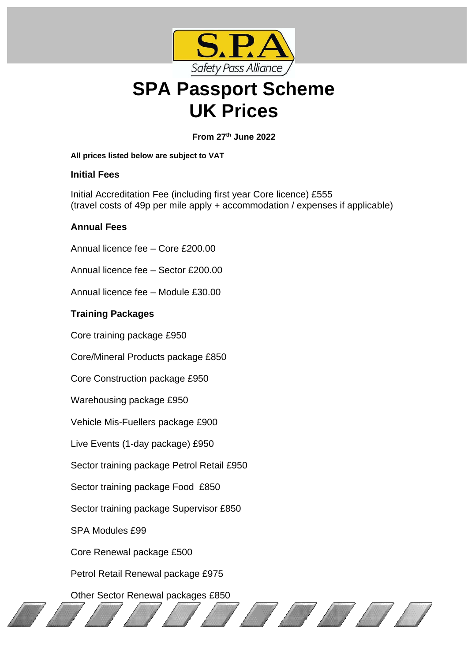

# **SPA Passport Scheme UK Prices**

**From 27th June 2022**

#### **All prices listed below are subject to VAT**

## **Initial Fees**

Initial Accreditation Fee (including first year Core licence) £555 (travel costs of 49p per mile apply + accommodation / expenses if applicable)

## **Annual Fees**

Annual licence fee – Core £200.00 Annual licence fee – Sector £200.00 Annual licence fee – Module £30.00

# **Training Packages**

Core training package £950

Core/Mineral Products package £850

Core Construction package £950

Warehousing package £950

Vehicle Mis-Fuellers package £900

Live Events (1-day package) £950

Sector training package Petrol Retail £950

Sector training package Food £850

Sector training package Supervisor £850

SPA Modules £99

Core Renewal package £500

Petrol Retail Renewal package £975

Other Sector Renewal packages £850